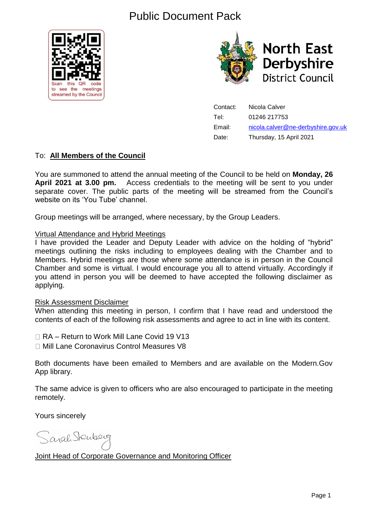## Public Document Pack





Contact: Nicola Calver Tel: 01246 217753 Email: [nicola.calver@ne-derbyshire.gov.uk](mailto:nicola.calver@ne-derbyshire.gov.uk) Date: Thursday, 15 April 2021

### To: **All Members of the Council**

You are summoned to attend the annual meeting of the Council to be held on **Monday, 26 April 2021 at 3.00 pm.** Access credentials to the meeting will be sent to you under separate cover. The public parts of the meeting will be streamed from the Council's website on its 'You Tube' channel.

Group meetings will be arranged, where necessary, by the Group Leaders.

### Virtual Attendance and Hybrid Meetings

I have provided the Leader and Deputy Leader with advice on the holding of "hybrid" meetings outlining the risks including to employees dealing with the Chamber and to Members. Hybrid meetings are those where some attendance is in person in the Council Chamber and some is virtual. I would encourage you all to attend virtually. Accordingly if you attend in person you will be deemed to have accepted the following disclaimer as applying.

### Risk Assessment Disclaimer

When attending this meeting in person, I confirm that I have read and understood the contents of each of the following risk assessments and agree to act in line with its content.

□ RA – Return to Work Mill Lane Covid 19 V13

Mill Lane Coronavirus Control Measures V8

Both documents have been emailed to Members and are available on the Modern.Gov App library.

The same advice is given to officers who are also encouraged to participate in the meeting remotely.

Yours sincerely

Sarah Stenberg

Joint Head of Corporate Governance and Monitoring Officer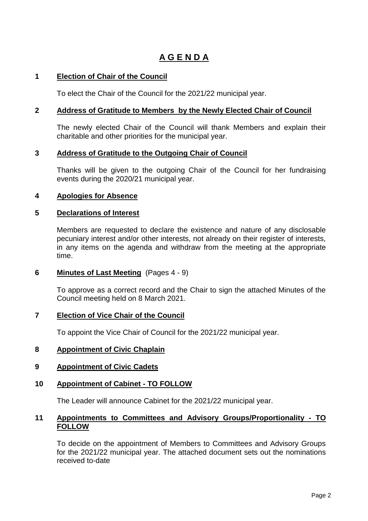## **A G E N D A**

### **1 Election of Chair of the Council**

To elect the Chair of the Council for the 2021/22 municipal year.

### **2 Address of Gratitude to Members by the Newly Elected Chair of Council**

The newly elected Chair of the Council will thank Members and explain their charitable and other priorities for the municipal year.

### **3 Address of Gratitude to the Outgoing Chair of Council**

Thanks will be given to the outgoing Chair of the Council for her fundraising events during the 2020/21 municipal year.

### **4 Apologies for Absence**

### **5 Declarations of Interest**

Members are requested to declare the existence and nature of any disclosable pecuniary interest and/or other interests, not already on their register of interests, in any items on the agenda and withdraw from the meeting at the appropriate time.

### **6 Minutes of Last Meeting** (Pages 4 - 9)

To approve as a correct record and the Chair to sign the attached Minutes of the Council meeting held on 8 March 2021.

### **7 Election of Vice Chair of the Council**

To appoint the Vice Chair of Council for the 2021/22 municipal year.

### **8 Appointment of Civic Chaplain**

### **9 Appointment of Civic Cadets**

### **10 Appointment of Cabinet - TO FOLLOW**

The Leader will announce Cabinet for the 2021/22 municipal year.

### **11 Appointments to Committees and Advisory Groups/Proportionality - TO FOLLOW**

To decide on the appointment of Members to Committees and Advisory Groups for the 2021/22 municipal year. The attached document sets out the nominations received to-date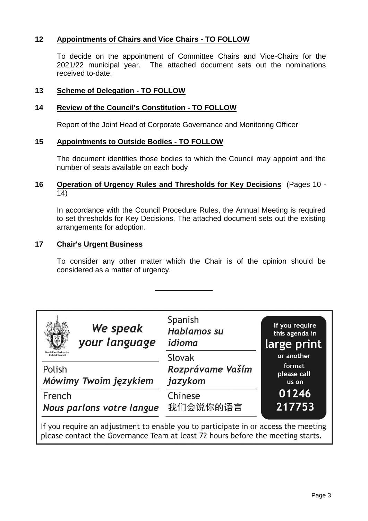### **12 Appointments of Chairs and Vice Chairs - TO FOLLOW**

To decide on the appointment of Committee Chairs and Vice-Chairs for the 2021/22 municipal year. The attached document sets out the nominations received to-date.

### **13 Scheme of Delegation - TO FOLLOW**

### **14 Review of the Council's Constitution - TO FOLLOW**

Report of the Joint Head of Corporate Governance and Monitoring Officer

### **15 Appointments to Outside Bodies - TO FOLLOW**

The document identifies those bodies to which the Council may appoint and the number of seats available on each body

### **16 Operation of Urgency Rules and Thresholds for Key Decisions** (Pages 10 - 14)

In accordance with the Council Procedure Rules, the Annual Meeting is required to set thresholds for Key Decisions. The attached document sets out the existing arrangements for adoption.

### **17 Chair's Urgent Business**

To consider any other matter which the Chair is of the opinion should be considered as a matter of urgency.

\_\_\_\_\_\_\_\_\_\_\_\_\_\_

| We speak<br>your language<br><b>North East Derbyshire</b><br>District Council      | Spanish<br><b>Hablamos su</b><br>idioma | If you require<br>this agenda in<br>large print<br>or another |  |
|------------------------------------------------------------------------------------|-----------------------------------------|---------------------------------------------------------------|--|
| Polish<br>Mówimy Twoim językiem                                                    | Slovak<br>Rozprávame Vaším<br>jazykom   | format<br>please call<br>us on                                |  |
| French<br>Nous parlons votre langue                                                | Chinese<br>我们会说你的语言                     | 01246<br>217753                                               |  |
| If you require an adjustment to enable you to participate in or access the meeting |                                         |                                                               |  |

please contact the Governance Team at least 72 hours before the meeting starts.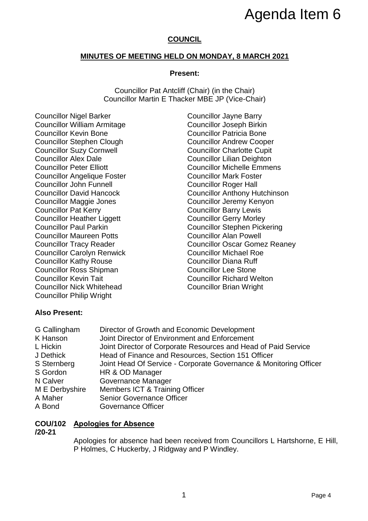# Agenda Item 6

### **COUNCIL**

### **MINUTES OF MEETING HELD ON MONDAY, 8 MARCH 2021**

### **Present:**

Councillor Pat Antcliff (Chair) (in the Chair) Councillor Martin E Thacker MBE JP (Vice-Chair)

Councillor Nigel Barker Councillor Jayne Barry Councillor William Armitage Councillor Joseph Birkin Councillor Kevin Bone Councillor Patricia Bone Councillor Stephen Clough Councillor Andrew Cooper Councillor Suzy Cornwell Councillor Charlotte Cupit Councillor Alex Dale Councillor Lilian Deighton Councillor Peter Elliott Councillor Michelle Emmens Councillor Angelique Foster Councillor Mark Foster Councillor John Funnell Councillor Roger Hall Councillor Maggie Jones Councillor Jeremy Kenyon Councillor Pat Kerry **Councillor Barry Lewis** Councillor Heather Liggett Councillor Gerry Morley Councillor Maureen Potts Councillor Alan Powell Councillor Carolyn Renwick Councillor Michael Roe Councillor Kathy Rouse Councillor Diana Ruff Councillor Ross Shipman Councillor Lee Stone Councillor Kevin Tait Councillor Richard Welton Councillor Nick Whitehead Councillor Brian Wright Councillor Philip Wright

Councillor David Hancock Councillor Anthony Hutchinson Councillor Paul Parkin Councillor Stephen Pickering Councillor Tracy Reader Councillor Oscar Gomez Reaney Agenda Item 6<br>
MARCH 2021<br>
air)<br>
Chair)<br>
Brirkin Birkin<br>
Brirkin<br>
Barkin<br>
a Bone<br>
v Cooper<br>
tte Cupit<br>
e Emmens<br>
Coster<br>
Hall<br>
Morley<br>
y Hutchinson<br>
y Hutchinson<br>
Pickering<br>
owell<br>
Bomez Reaney<br>
Ruff<br>
Dee<br>
Ruff<br>
one<br>
Might

### **Also Present:**

| G Callingham   | Director of Growth and Economic Development                       |
|----------------|-------------------------------------------------------------------|
| K Hanson       | Joint Director of Environment and Enforcement                     |
| L Hickin       | Joint Director of Corporate Resources and Head of Paid Service    |
| J Dethick      | Head of Finance and Resources, Section 151 Officer                |
| S Sternberg    | Joint Head Of Service - Corporate Governance & Monitoring Officer |
| S Gordon       | HR & OD Manager                                                   |
| N Calver       | Governance Manager                                                |
| M E Derbyshire | Members ICT & Training Officer                                    |
| A Maher        | Senior Governance Officer                                         |
| A Bond         | <b>Governance Officer</b>                                         |

### **COU/102 Apologies for Absence**

### **/20-21**

Apologies for absence had been received from Councillors L Hartshorne, E Hill, P Holmes, C Huckerby, J Ridgway and P Windley.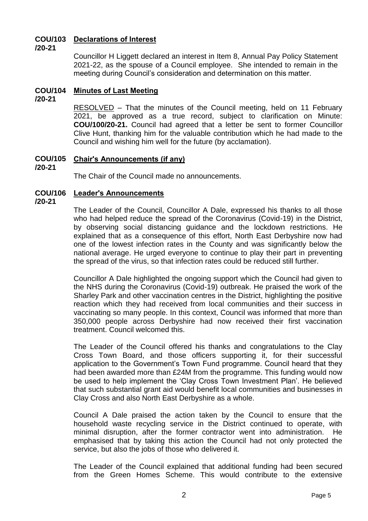#### **COU/103 Declarations of Interest**

**/20-21**

Councillor H Liggett declared an interest in Item 8, Annual Pay Policy Statement 2021-22, as the spouse of a Council employee. She intended to remain in the meeting during Council's consideration and determination on this matter.

#### **COU/104 Minutes of Last Meeting**

**/20-21**

RESOLVED – That the minutes of the Council meeting, held on 11 February 2021, be approved as a true record, subject to clarification on Minute: **COU/100/20-21.** Council had agreed that a letter be sent to former Councillor Clive Hunt, thanking him for the valuable contribution which he had made to the Council and wishing him well for the future (by acclamation).

### **COU/105 Chair's Announcements (if any)**

**/20-21**

The Chair of the Council made no announcements.

#### **COU/106 Leader's Announcements**

**/20-21**

The Leader of the Council, Councillor A Dale, expressed his thanks to all those who had helped reduce the spread of the Coronavirus (Covid-19) in the District, by observing social distancing guidance and the lockdown restrictions. He explained that as a consequence of this effort, North East Derbyshire now had one of the lowest infection rates in the County and was significantly below the national average. He urged everyone to continue to play their part in preventing the spread of the virus, so that infection rates could be reduced still further.

Councillor A Dale highlighted the ongoing support which the Council had given to the NHS during the Coronavirus (Covid-19) outbreak. He praised the work of the Sharley Park and other vaccination centres in the District, highlighting the positive reaction which they had received from local communities and their success in vaccinating so many people. In this context, Council was informed that more than 350,000 people across Derbyshire had now received their first vaccination treatment. Council welcomed this.

The Leader of the Council offered his thanks and congratulations to the Clay Cross Town Board, and those officers supporting it, for their successful application to the Government's Town Fund programme. Council heard that they had been awarded more than £24M from the programme. This funding would now be used to help implement the 'Clay Cross Town Investment Plan'. He believed that such substantial grant aid would benefit local communities and businesses in Clay Cross and also North East Derbyshire as a whole.

Council A Dale praised the action taken by the Council to ensure that the household waste recycling service in the District continued to operate, with minimal disruption, after the former contractor went into administration. He emphasised that by taking this action the Council had not only protected the service, but also the jobs of those who delivered it.

The Leader of the Council explained that additional funding had been secured from the Green Homes Scheme. This would contribute to the extensive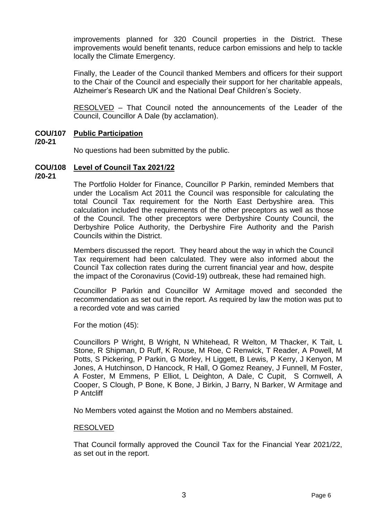improvements planned for 320 Council properties in the District. These improvements would benefit tenants, reduce carbon emissions and help to tackle locally the Climate Emergency.

Finally, the Leader of the Council thanked Members and officers for their support to the Chair of the Council and especially their support for her charitable appeals, Alzheimer's Research UK and the National Deaf Children's Society.

RESOLVED – That Council noted the announcements of the Leader of the Council, Councillor A Dale (by acclamation).

#### **COU/107 Public Participation**

**/20-21**

No questions had been submitted by the public.

#### **COU/108 Level of Council Tax 2021/22**

**/20-21**

The Portfolio Holder for Finance, Councillor P Parkin, reminded Members that under the Localism Act 2011 the Council was responsible for calculating the total Council Tax requirement for the North East Derbyshire area. This calculation included the requirements of the other preceptors as well as those of the Council. The other preceptors were Derbyshire County Council, the Derbyshire Police Authority, the Derbyshire Fire Authority and the Parish Councils within the District.

Members discussed the report. They heard about the way in which the Council Tax requirement had been calculated. They were also informed about the Council Tax collection rates during the current financial year and how, despite the impact of the Coronavirus (Covid-19) outbreak, these had remained high.

Councillor P Parkin and Councillor W Armitage moved and seconded the recommendation as set out in the report. As required by law the motion was put to a recorded vote and was carried

For the motion (45):

Councillors P Wright, B Wright, N Whitehead, R Welton, M Thacker, K Tait, L Stone, R Shipman, D Ruff, K Rouse, M Roe, C Renwick, T Reader, A Powell, M Potts, S Pickering, P Parkin, G Morley, H Liggett, B Lewis, P Kerry, J Kenyon, M Jones, A Hutchinson, D Hancock, R Hall, O Gomez Reaney, J Funnell, M Foster, A Foster, M Emmens, P Elliot, L Deighton, A Dale, C Cupit, S Cornwell, A Cooper, S Clough, P Bone, K Bone, J Birkin, J Barry, N Barker, W Armitage and P Antcliff

No Members voted against the Motion and no Members abstained.

### RESOLVED

That Council formally approved the Council Tax for the Financial Year 2021/22, as set out in the report.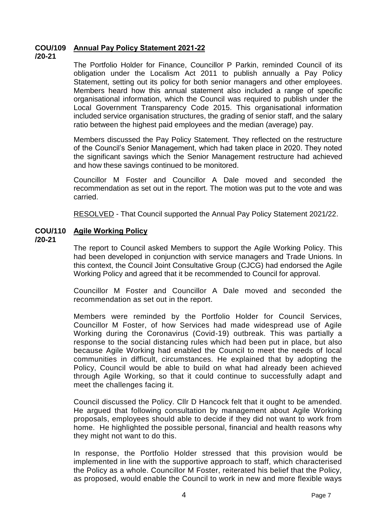#### **COU/109 Annual Pay Policy Statement 2021-22**

### **/20-21**

The Portfolio Holder for Finance, Councillor P Parkin, reminded Council of its obligation under the Localism Act 2011 to publish annually a Pay Policy Statement, setting out its policy for both senior managers and other employees. Members heard how this annual statement also included a range of specific organisational information, which the Council was required to publish under the Local Government Transparency Code 2015. This organisational information included service organisation structures, the grading of senior staff, and the salary ratio between the highest paid employees and the median (average) pay.

Members discussed the Pay Policy Statement. They reflected on the restructure of the Council's Senior Management, which had taken place in 2020. They noted the significant savings which the Senior Management restructure had achieved and how these savings continued to be monitored.

Councillor M Foster and Councillor A Dale moved and seconded the recommendation as set out in the report. The motion was put to the vote and was carried.

RESOLVED - That Council supported the Annual Pay Policy Statement 2021/22.

#### **COU/110 Agile Working Policy**

**/20-21**

The report to Council asked Members to support the Agile Working Policy. This had been developed in conjunction with service managers and Trade Unions. In this context, the Council Joint Consultative Group (CJCG) had endorsed the Agile Working Policy and agreed that it be recommended to Council for approval.

Councillor M Foster and Councillor A Dale moved and seconded the recommendation as set out in the report.

Members were reminded by the Portfolio Holder for Council Services, Councillor M Foster, of how Services had made widespread use of Agile Working during the Coronavirus (Covid-19) outbreak. This was partially a response to the social distancing rules which had been put in place, but also because Agile Working had enabled the Council to meet the needs of local communities in difficult, circumstances. He explained that by adopting the Policy, Council would be able to build on what had already been achieved through Agile Working, so that it could continue to successfully adapt and meet the challenges facing it.

Council discussed the Policy. Cllr D Hancock felt that it ought to be amended. He argued that following consultation by management about Agile Working proposals, employees should able to decide if they did not want to work from home. He highlighted the possible personal, financial and health reasons why they might not want to do this.

In response, the Portfolio Holder stressed that this provision would be implemented in line with the supportive approach to staff, which characterised the Policy as a whole. Councillor M Foster, reiterated his belief that the Policy, as proposed, would enable the Council to work in new and more flexible ways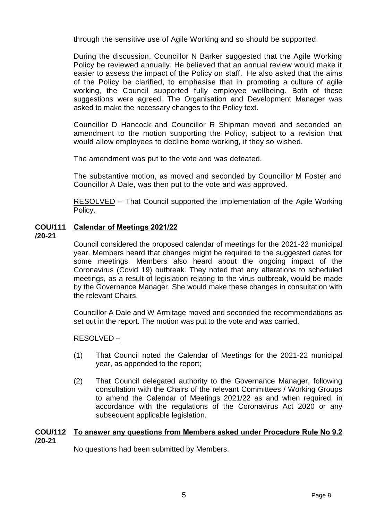through the sensitive use of Agile Working and so should be supported.

During the discussion, Councillor N Barker suggested that the Agile Working Policy be reviewed annually. He believed that an annual review would make it easier to assess the impact of the Policy on staff. He also asked that the aims of the Policy be clarified, to emphasise that in promoting a culture of agile working, the Council supported fully employee wellbeing. Both of these suggestions were agreed. The Organisation and Development Manager was asked to make the necessary changes to the Policy text.

Councillor D Hancock and Councillor R Shipman moved and seconded an amendment to the motion supporting the Policy, subject to a revision that would allow employees to decline home working, if they so wished.

The amendment was put to the vote and was defeated.

The substantive motion, as moved and seconded by Councillor M Foster and Councillor A Dale, was then put to the vote and was approved.

RESOLVED – That Council supported the implementation of the Agile Working Policy.

### **COU/111 Calendar of Meetings 2021/22**

### **/20-21**

Council considered the proposed calendar of meetings for the 2021-22 municipal year. Members heard that changes might be required to the suggested dates for some meetings. Members also heard about the ongoing impact of the Coronavirus (Covid 19) outbreak. They noted that any alterations to scheduled meetings, as a result of legislation relating to the virus outbreak, would be made by the Governance Manager. She would make these changes in consultation with the relevant Chairs.

Councillor A Dale and W Armitage moved and seconded the recommendations as set out in the report. The motion was put to the vote and was carried.

### RESOLVED –

- (1) That Council noted the Calendar of Meetings for the 2021-22 municipal year, as appended to the report;
- (2) That Council delegated authority to the Governance Manager, following consultation with the Chairs of the relevant Committees / Working Groups to amend the Calendar of Meetings 2021/22 as and when required, in accordance with the regulations of the Coronavirus Act 2020 or any subsequent applicable legislation.

### **COU/112 /20-21 To answer any questions from Members asked under Procedure Rule No 9.2**

No questions had been submitted by Members.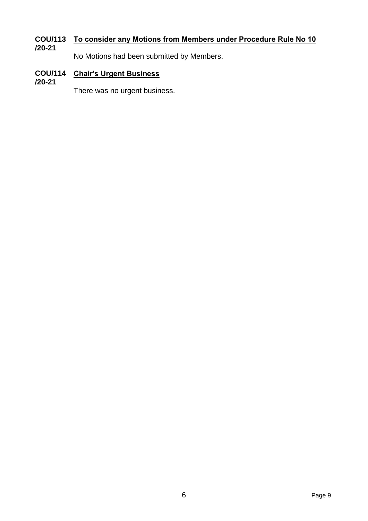### **COU/113 /20-21 To consider any Motions from Members under Procedure Rule No 10**

No Motions had been submitted by Members.

#### **COU/114 Chair's Urgent Business**

**/20-21**

There was no urgent business.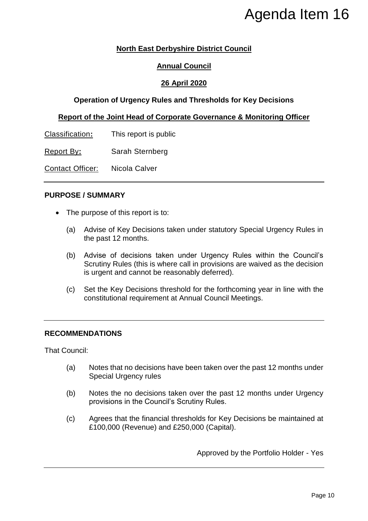### **North East Derbyshire District Council**

### **Annual Council**

### **26 April 2020**

### **Operation of Urgency Rules and Thresholds for Key Decisions**

### **Report of the Joint Head of Corporate Governance & Monitoring Officer**

Classification**:** This report is public

Report By**:** Sarah Sternberg

Contact Officer: Nicola Calver

### **PURPOSE / SUMMARY**

- The purpose of this report is to:
	- (a) Advise of Key Decisions taken under statutory Special Urgency Rules in the past 12 months.
- (b) Advise of decisions taken under Urgency Rules within the Council's Scrutiny Rules (this is where call in provisions are waived as the decision is urgent and cannot be reasonably deferred). Agenda Item 16<br>
Eil<br>
Key Decisions<br>
Monitoring Officer<br>
pecial Urgency Rules in<br>
es within the Council's<br>
vaived as the decision<br>
ning year in line with the<br>
trings.<br>
ne past 12 months under<br>
months under Urgency<br>
cisions
	- (c) Set the Key Decisions threshold for the forthcoming year in line with the constitutional requirement at Annual Council Meetings.

### **RECOMMENDATIONS**

That Council:

- (a) Notes that no decisions have been taken over the past 12 months under Special Urgency rules
- (b) Notes the no decisions taken over the past 12 months under Urgency provisions in the Council's Scrutiny Rules.
- (c) Agrees that the financial thresholds for Key Decisions be maintained at £100,000 (Revenue) and £250,000 (Capital).

Approved by the Portfolio Holder - Yes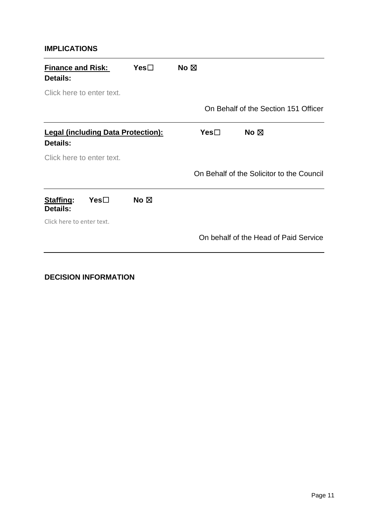### **IMPLICATIONS**

| <b>Finance and Risk:</b><br>Details:                  | $Yes \Box$     | No $\boxtimes$                            |  |
|-------------------------------------------------------|----------------|-------------------------------------------|--|
| Click here to enter text.                             |                |                                           |  |
|                                                       |                | On Behalf of the Section 151 Officer      |  |
| <b>Legal (including Data Protection):</b><br>Details: |                | $Yes\square$<br>No $\boxtimes$            |  |
| Click here to enter text.                             |                |                                           |  |
|                                                       |                | On Behalf of the Solicitor to the Council |  |
| Staffing:<br>Yes <sub>1</sub><br><b>Details:</b>      | No $\boxtimes$ |                                           |  |
| Click here to enter text.                             |                |                                           |  |
|                                                       |                | On behalf of the Head of Paid Service     |  |
|                                                       |                |                                           |  |

### **DECISION INFORMATION**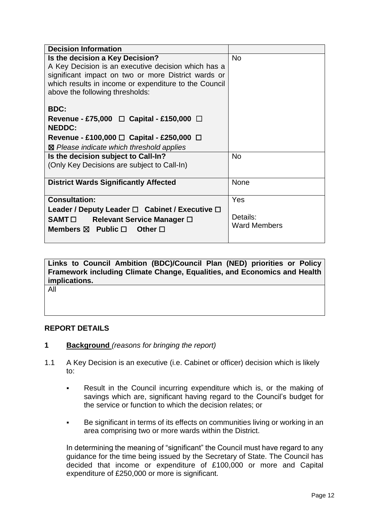| <b>Decision Information</b>                                                                                                                                                                                                               |                                 |
|-------------------------------------------------------------------------------------------------------------------------------------------------------------------------------------------------------------------------------------------|---------------------------------|
| Is the decision a Key Decision?<br>A Key Decision is an executive decision which has a<br>significant impact on two or more District wards or<br>which results in income or expenditure to the Council<br>above the following thresholds: | <b>No</b>                       |
| <b>BDC:</b>                                                                                                                                                                                                                               |                                 |
| Revenue - £75,000 $\Box$ Capital - £150,000 $\Box$<br><b>NEDDC:</b>                                                                                                                                                                       |                                 |
| Revenue - £100,000 $\Box$ Capital - £250,000 $\Box$                                                                                                                                                                                       |                                 |
| ⊠ Please indicate which threshold applies                                                                                                                                                                                                 |                                 |
| Is the decision subject to Call-In?<br>(Only Key Decisions are subject to Call-In)                                                                                                                                                        | <b>No</b>                       |
| <b>District Wards Significantly Affected</b>                                                                                                                                                                                              | <b>None</b>                     |
| <b>Consultation:</b>                                                                                                                                                                                                                      | Yes                             |
| Leader / Deputy Leader $\square$ Cabinet / Executive $\square$<br>SAMT□ Relevant Service Manager □<br>Members $\boxtimes$ Public $\square$<br>Other <b>□</b>                                                                              | Details:<br><b>Ward Members</b> |

**Links to Council Ambition (BDC)/Council Plan (NED) priorities or Policy Framework including Climate Change, Equalities, and Economics and Health implications.**

All

### **REPORT DETAILS**

- **1 Background** *(reasons for bringing the report)*
- 1.1 A Key Decision is an executive (i.e. Cabinet or officer) decision which is likely to:
	- **Result in the Council incurring expenditure which is, or the making of** savings which are, significant having regard to the Council's budget for the service or function to which the decision relates; or
	- Be significant in terms of its effects on communities living or working in an area comprising two or more wards within the District.

In determining the meaning of "significant" the Council must have regard to any guidance for the time being issued by the Secretary of State. The Council has decided that income or expenditure of £100,000 or more and Capital expenditure of £250,000 or more is significant.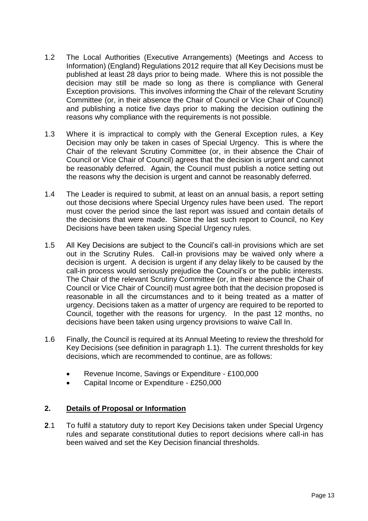- 1.2 The Local Authorities (Executive Arrangements) (Meetings and Access to Information) (England) Regulations 2012 require that all Key Decisions must be published at least 28 days prior to being made. Where this is not possible the decision may still be made so long as there is compliance with General Exception provisions. This involves informing the Chair of the relevant Scrutiny Committee (or, in their absence the Chair of Council or Vice Chair of Council) and publishing a notice five days prior to making the decision outlining the reasons why compliance with the requirements is not possible.
- 1.3 Where it is impractical to comply with the General Exception rules, a Key Decision may only be taken in cases of Special Urgency. This is where the Chair of the relevant Scrutiny Committee (or, in their absence the Chair of Council or Vice Chair of Council) agrees that the decision is urgent and cannot be reasonably deferred. Again, the Council must publish a notice setting out the reasons why the decision is urgent and cannot be reasonably deferred.
- 1.4 The Leader is required to submit, at least on an annual basis, a report setting out those decisions where Special Urgency rules have been used. The report must cover the period since the last report was issued and contain details of the decisions that were made. Since the last such report to Council, no Key Decisions have been taken using Special Urgency rules.
- 1.5 All Key Decisions are subject to the Council's call-in provisions which are set out in the Scrutiny Rules. Call-in provisions may be waived only where a decision is urgent. A decision is urgent if any delay likely to be caused by the call-in process would seriously prejudice the Council's or the public interests. The Chair of the relevant Scrutiny Committee (or, in their absence the Chair of Council or Vice Chair of Council) must agree both that the decision proposed is reasonable in all the circumstances and to it being treated as a matter of urgency. Decisions taken as a matter of urgency are required to be reported to Council, together with the reasons for urgency. In the past 12 months, no decisions have been taken using urgency provisions to waive Call In.
- 1.6 Finally, the Council is required at its Annual Meeting to review the threshold for Key Decisions (see definition in paragraph 1.1). The current thresholds for key decisions, which are recommended to continue, are as follows:
	- Revenue Income, Savings or Expenditure £100,000
	- Capital Income or Expenditure £250,000

### **2. Details of Proposal or Information**

**2**.1 To fulfil a statutory duty to report Key Decisions taken under Special Urgency rules and separate constitutional duties to report decisions where call-in has been waived and set the Key Decision financial thresholds.